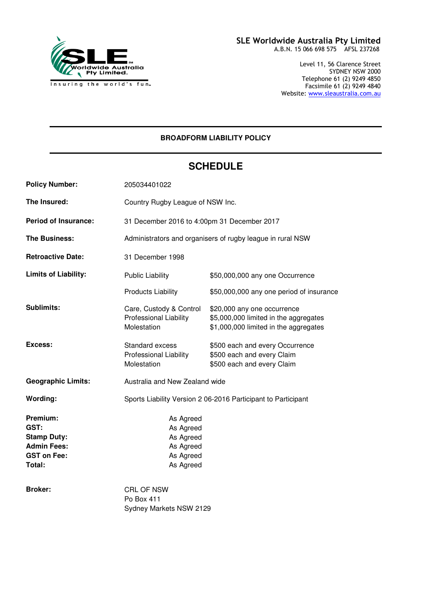

#### SLE Worldwide Australia Pty Limited A.B.N. 15 066 698 575 AFSL 237268

Level 11, 56 Clarence Street SYDNEY NSW 2000 Telephone 61 (2) 9249 4850 Facsimile 61 (2) 9249 4840 Website: www.sleaustralia.com.au

# **BROADFORM LIABILITY POLICY**

# **SCHEDULE**

| <b>Policy Number:</b>                                                                        | 205034401022                                                               |                                                                                                               |
|----------------------------------------------------------------------------------------------|----------------------------------------------------------------------------|---------------------------------------------------------------------------------------------------------------|
| The Insured:                                                                                 | Country Rugby League of NSW Inc.                                           |                                                                                                               |
| <b>Period of Insurance:</b>                                                                  | 31 December 2016 to 4:00pm 31 December 2017                                |                                                                                                               |
| <b>The Business:</b>                                                                         | Administrators and organisers of rugby league in rural NSW                 |                                                                                                               |
| <b>Retroactive Date:</b>                                                                     | 31 December 1998                                                           |                                                                                                               |
| <b>Limits of Liability:</b>                                                                  | <b>Public Liability</b>                                                    | \$50,000,000 any one Occurrence                                                                               |
|                                                                                              | <b>Products Liability</b>                                                  | \$50,000,000 any one period of insurance                                                                      |
| <b>Sublimits:</b>                                                                            | Care, Custody & Control<br><b>Professional Liability</b><br>Molestation    | \$20,000 any one occurrence<br>\$5,000,000 limited in the aggregates<br>\$1,000,000 limited in the aggregates |
| <b>Excess:</b>                                                                               | Standard excess<br><b>Professional Liability</b><br>Molestation            | \$500 each and every Occurrence<br>\$500 each and every Claim<br>\$500 each and every Claim                   |
| <b>Geographic Limits:</b>                                                                    | Australia and New Zealand wide                                             |                                                                                                               |
| Wording:                                                                                     | Sports Liability Version 2 06-2016 Participant to Participant              |                                                                                                               |
| Premium:<br>GST:<br><b>Stamp Duty:</b><br><b>Admin Fees:</b><br><b>GST on Fee:</b><br>Total: | As Agreed<br>As Agreed<br>As Agreed<br>As Agreed<br>As Agreed<br>As Agreed |                                                                                                               |
| <b>Broker:</b>                                                                               | <b>CRL OF NSW</b><br>Po Box 411<br>Sydney Markets NSW 2129                 |                                                                                                               |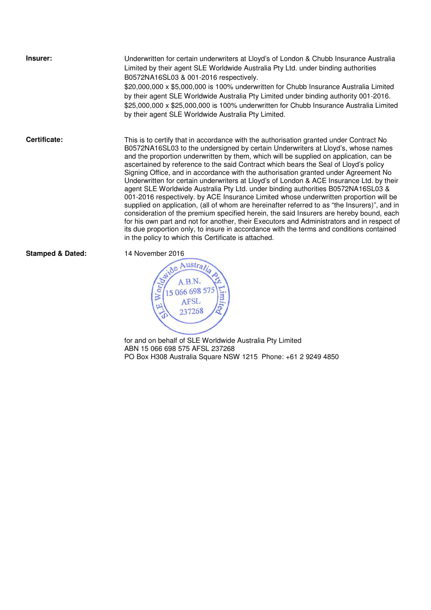**Insurer:** Underwritten for certain underwriters at Lloyd's of London & Chubb Insurance Australia Limited by their agent SLE Worldwide Australia Pty Ltd. under binding authorities B0572NA16SL03 & 001-2016 respectively.

\$20,000,000 x \$5,000,000 is 100% underwritten for Chubb Insurance Australia Limited by their agent SLE Worldwide Australia Pty Limited under binding authority 001-2016. \$25,000,000 x \$25,000,000 is 100% underwritten for Chubb Insurance Australia Limited by their agent SLE Worldwide Australia Pty Limited.

**Certificate:** This is to certify that in accordance with the authorisation granted under Contract No B0572NA16SL03 to the undersigned by certain Underwriters at Lloyd's, whose names and the proportion underwritten by them, which will be supplied on application, can be ascertained by reference to the said Contract which bears the Seal of Lloyd's policy Signing Office, and in accordance with the authorisation granted under Agreement No Underwritten for certain underwriters at Lloyd's of London & ACE Insurance Ltd. by their agent SLE Worldwide Australia Pty Ltd. under binding authorities B0572NA16SL03 & 001-2016 respectively. by ACE Insurance Limited whose underwritten proportion will be supplied on application, (all of whom are hereinafter referred to as "the Insurers)", and in consideration of the premium specified herein, the said Insurers are hereby bound, each for his own part and not for another, their Executors and Administrators and in respect of its due proportion only, to insure in accordance with the terms and conditions contained in the policy to which this Certificate is attached.

**Stamped & Dated:** 14 November 2016



 $\overline{a}$ for and on behalf of SLE Worldwide Australia Pty Limited ABN 15 066 698 575 AFSL 237268 PO Box H308 Australia Square NSW 1215 Phone: +61 2 9249 4850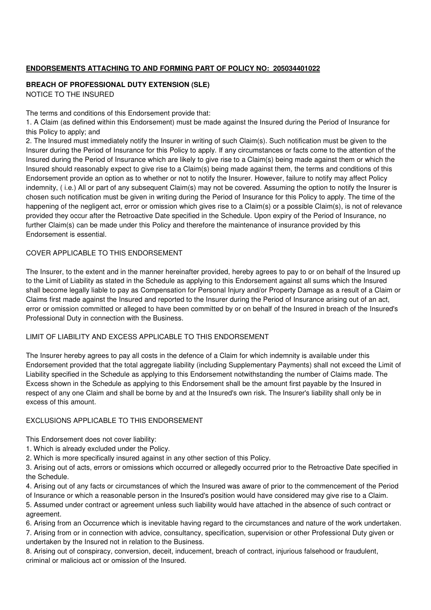# **ENDORSEMENTS ATTACHING TO AND FORMING PART OF POLICY NO: 205034401022**

#### **BREACH OF PROFESSIONAL DUTY EXTENSION (SLE)**  NOTICE TO THE INSURED

The terms and conditions of this Endorsement provide that:

1. A Claim (as defined within this Endorsement) must be made against the Insured during the Period of Insurance for this Policy to apply; and

2. The Insured must immediately notify the Insurer in writing of such Claim(s). Such notification must be given to the Insurer during the Period of Insurance for this Policy to apply. If any circumstances or facts come to the attention of the Insured during the Period of Insurance which are likely to give rise to a Claim(s) being made against them or which the Insured should reasonably expect to give rise to a Claim(s) being made against them, the terms and conditions of this Endorsement provide an option as to whether or not to notify the Insurer. However, failure to notify may affect Policy indemnity, ( i.e.) All or part of any subsequent Claim(s) may not be covered. Assuming the option to notify the Insurer is chosen such notification must be given in writing during the Period of Insurance for this Policy to apply. The time of the happening of the negligent act, error or omission which gives rise to a Claim(s) or a possible Claim(s), is not of relevance provided they occur after the Retroactive Date specified in the Schedule. Upon expiry of the Period of Insurance, no further Claim(s) can be made under this Policy and therefore the maintenance of insurance provided by this Endorsement is essential.

#### COVER APPLICABLE TO THIS ENDORSEMENT

The Insurer, to the extent and in the manner hereinafter provided, hereby agrees to pay to or on behalf of the Insured up to the Limit of Liability as stated in the Schedule as applying to this Endorsement against all sums which the Insured shall become legally liable to pay as Compensation for Personal Injury and/or Property Damage as a result of a Claim or Claims first made against the Insured and reported to the Insurer during the Period of Insurance arising out of an act, error or omission committed or alleged to have been committed by or on behalf of the Insured in breach of the Insured's Professional Duty in connection with the Business.

#### LIMIT OF LIABILITY AND EXCESS APPLICABLE TO THIS ENDORSEMENT

The Insurer hereby agrees to pay all costs in the defence of a Claim for which indemnity is available under this Endorsement provided that the total aggregate liability (including Supplementary Payments) shall not exceed the Limit of Liability specified in the Schedule as applying to this Endorsement notwithstanding the number of Claims made. The Excess shown in the Schedule as applying to this Endorsement shall be the amount first payable by the Insured in respect of any one Claim and shall be borne by and at the Insured's own risk. The Insurer's liability shall only be in excess of this amount.

#### EXCLUSIONS APPLICABLE TO THIS ENDORSEMENT

This Endorsement does not cover liability:

- 1. Which is already excluded under the Policy.
- 2. Which is more specifically insured against in any other section of this Policy.

3. Arising out of acts, errors or omissions which occurred or allegedly occurred prior to the Retroactive Date specified in the Schedule.

4. Arising out of any facts or circumstances of which the Insured was aware of prior to the commencement of the Period of Insurance or which a reasonable person in the Insured's position would have considered may give rise to a Claim.

5. Assumed under contract or agreement unless such liability would have attached in the absence of such contract or agreement.

6. Arising from an Occurrence which is inevitable having regard to the circumstances and nature of the work undertaken. 7. Arising from or in connection with advice, consultancy, specification, supervision or other Professional Duty given or undertaken by the Insured not in relation to the Business.

8. Arising out of conspiracy, conversion, deceit, inducement, breach of contract, injurious falsehood or fraudulent, criminal or malicious act or omission of the Insured.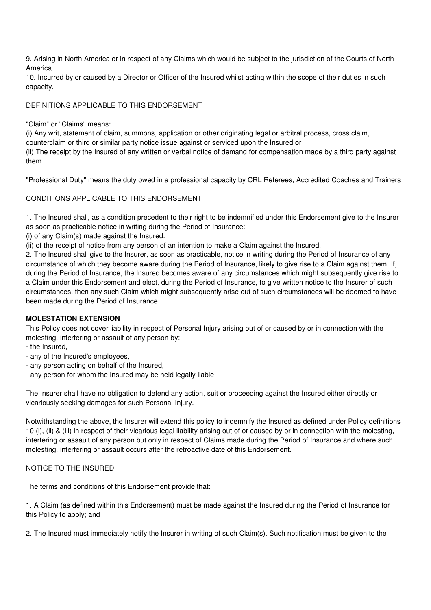9. Arising in North America or in respect of any Claims which would be subject to the jurisdiction of the Courts of North America.

10. Incurred by or caused by a Director or Officer of the Insured whilst acting within the scope of their duties in such capacity.

## DEFINITIONS APPLICABLE TO THIS ENDORSEMENT

#### "Claim" or "Claims" means:

(i) Any writ, statement of claim, summons, application or other originating legal or arbitral process, cross claim, counterclaim or third or similar party notice issue against or serviced upon the Insured or (ii) The receipt by the Insured of any written or verbal notice of demand for compensation made by a third party against them.

"Professional Duty" means the duty owed in a professional capacity by CRL Referees, Accredited Coaches and Trainers

### CONDITIONS APPLICABLE TO THIS ENDORSEMENT

1. The Insured shall, as a condition precedent to their right to be indemnified under this Endorsement give to the Insurer as soon as practicable notice in writing during the Period of Insurance:

(i) of any Claim(s) made against the Insured.

(ii) of the receipt of notice from any person of an intention to make a Claim against the Insured.

2. The Insured shall give to the Insurer, as soon as practicable, notice in writing during the Period of Insurance of any circumstance of which they become aware during the Period of Insurance, likely to give rise to a Claim against them. If, during the Period of Insurance, the Insured becomes aware of any circumstances which might subsequently give rise to a Claim under this Endorsement and elect, during the Period of Insurance, to give written notice to the Insurer of such circumstances, then any such Claim which might subsequently arise out of such circumstances will be deemed to have been made during the Period of Insurance.

#### **MOLESTATION EXTENSION**

This Policy does not cover liability in respect of Personal Injury arising out of or caused by or in connection with the molesting, interfering or assault of any person by:

- the Insured,
- any of the Insured's employees,
- any person acting on behalf of the Insured,
- any person for whom the Insured may be held legally liable.

The Insurer shall have no obligation to defend any action, suit or proceeding against the Insured either directly or vicariously seeking damages for such Personal Injury.

Notwithstanding the above, the Insurer will extend this policy to indemnify the Insured as defined under Policy definitions 10 (i), (ii) & (iii) in respect of their vicarious legal liability arising out of or caused by or in connection with the molesting, interfering or assault of any person but only in respect of Claims made during the Period of Insurance and where such molesting, interfering or assault occurs after the retroactive date of this Endorsement.

#### NOTICE TO THE INSURED

The terms and conditions of this Endorsement provide that:

1. A Claim (as defined within this Endorsement) must be made against the Insured during the Period of Insurance for this Policy to apply; and

2. The Insured must immediately notify the Insurer in writing of such Claim(s). Such notification must be given to the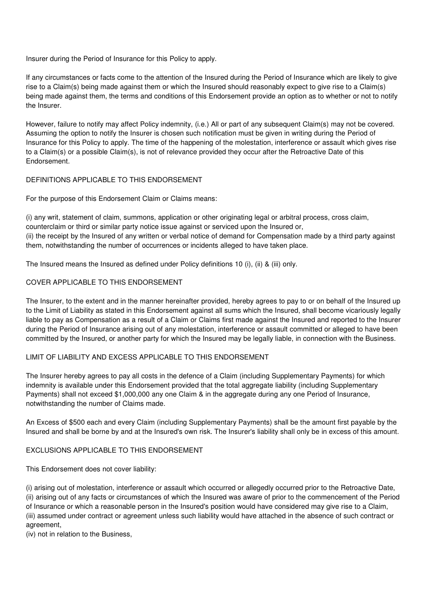Insurer during the Period of Insurance for this Policy to apply.

If any circumstances or facts come to the attention of the Insured during the Period of Insurance which are likely to give rise to a Claim(s) being made against them or which the Insured should reasonably expect to give rise to a Claim(s) being made against them, the terms and conditions of this Endorsement provide an option as to whether or not to notify the Insurer.

However, failure to notify may affect Policy indemnity, (i.e.) All or part of any subsequent Claim(s) may not be covered. Assuming the option to notify the Insurer is chosen such notification must be given in writing during the Period of Insurance for this Policy to apply. The time of the happening of the molestation, interference or assault which gives rise to a Claim(s) or a possible Claim(s), is not of relevance provided they occur after the Retroactive Date of this Endorsement.

### DEFINITIONS APPLICABLE TO THIS ENDORSEMENT

For the purpose of this Endorsement Claim or Claims means:

(i) any writ, statement of claim, summons, application or other originating legal or arbitral process, cross claim, counterclaim or third or similar party notice issue against or serviced upon the Insured or, (ii) the receipt by the Insured of any written or verbal notice of demand for Compensation made by a third party against them, notwithstanding the number of occurrences or incidents alleged to have taken place.

The Insured means the Insured as defined under Policy definitions 10 (i), (ii) & (iii) only.

### COVER APPLICABLE TO THIS ENDORSEMENT

The Insurer, to the extent and in the manner hereinafter provided, hereby agrees to pay to or on behalf of the Insured up to the Limit of Liability as stated in this Endorsement against all sums which the Insured, shall become vicariously legally liable to pay as Compensation as a result of a Claim or Claims first made against the Insured and reported to the Insurer during the Period of Insurance arising out of any molestation, interference or assault committed or alleged to have been committed by the Insured, or another party for which the Insured may be legally liable, in connection with the Business.

#### LIMIT OF LIABILITY AND EXCESS APPLICABLE TO THIS ENDORSEMENT

The Insurer hereby agrees to pay all costs in the defence of a Claim (including Supplementary Payments) for which indemnity is available under this Endorsement provided that the total aggregate liability (including Supplementary Payments) shall not exceed \$1,000,000 any one Claim & in the aggregate during any one Period of Insurance, notwithstanding the number of Claims made.

An Excess of \$500 each and every Claim (including Supplementary Payments) shall be the amount first payable by the Insured and shall be borne by and at the Insured's own risk. The Insurer's liability shall only be in excess of this amount.

# EXCLUSIONS APPLICABLE TO THIS ENDORSEMENT

This Endorsement does not cover liability:

(i) arising out of molestation, interference or assault which occurred or allegedly occurred prior to the Retroactive Date, (ii) arising out of any facts or circumstances of which the Insured was aware of prior to the commencement of the Period of Insurance or which a reasonable person in the Insured's position would have considered may give rise to a Claim, (iii) assumed under contract or agreement unless such liability would have attached in the absence of such contract or agreement,

(iv) not in relation to the Business,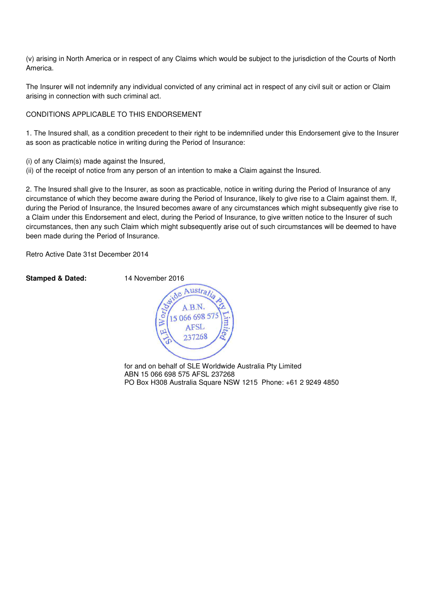(v) arising in North America or in respect of any Claims which would be subject to the jurisdiction of the Courts of North America.

The Insurer will not indemnify any individual convicted of any criminal act in respect of any civil suit or action or Claim arising in connection with such criminal act.

#### CONDITIONS APPLICABLE TO THIS ENDORSEMENT

1. The Insured shall, as a condition precedent to their right to be indemnified under this Endorsement give to the Insurer as soon as practicable notice in writing during the Period of Insurance:

(i) of any Claim(s) made against the Insured,

(ii) of the receipt of notice from any person of an intention to make a Claim against the Insured.

2. The Insured shall give to the Insurer, as soon as practicable, notice in writing during the Period of Insurance of any circumstance of which they become aware during the Period of Insurance, likely to give rise to a Claim against them. If, during the Period of Insurance, the Insured becomes aware of any circumstances which might subsequently give rise to a Claim under this Endorsement and elect, during the Period of Insurance, to give written notice to the Insurer of such circumstances, then any such Claim which might subsequently arise out of such circumstances will be deemed to have been made during the Period of Insurance.

Retro Active Date 31st December 2014

**Stamped & Dated:** 14 November 2016



for and on behalf of SLE Worldwide Australia Pty Limited ABN 15 066 698 575 AFSL 237268 PO Box H308 Australia Square NSW 1215 Phone: +61 2 9249 4850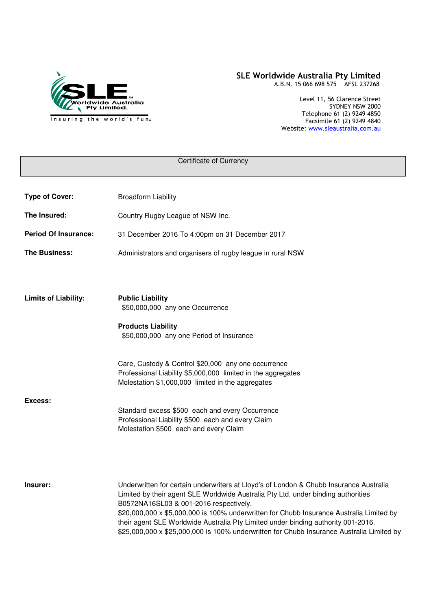

#### SLE Worldwide Australia Pty Limited A.B.N. 15 066 698 575 AFSL 237268

Level 11, 56 Clarence Street SYDNEY NSW 2000 Telephone 61 (2) 9249 4850 Facsimile 61 (2) 9249 4840 Website: www.sleaustralia.com.au

| Certificate of Currency     |                                                                                                                                                                                                                                                                            |  |
|-----------------------------|----------------------------------------------------------------------------------------------------------------------------------------------------------------------------------------------------------------------------------------------------------------------------|--|
|                             |                                                                                                                                                                                                                                                                            |  |
| <b>Type of Cover:</b>       | <b>Broadform Liability</b>                                                                                                                                                                                                                                                 |  |
| The Insured:                | Country Rugby League of NSW Inc.                                                                                                                                                                                                                                           |  |
| <b>Period Of Insurance:</b> | 31 December 2016 To 4:00pm on 31 December 2017                                                                                                                                                                                                                             |  |
| The Business:               | Administrators and organisers of rugby league in rural NSW                                                                                                                                                                                                                 |  |
|                             |                                                                                                                                                                                                                                                                            |  |
| <b>Limits of Liability:</b> | <b>Public Liability</b>                                                                                                                                                                                                                                                    |  |
|                             | \$50,000,000 any one Occurrence                                                                                                                                                                                                                                            |  |
|                             | <b>Products Liability</b><br>\$50,000,000 any one Period of Insurance                                                                                                                                                                                                      |  |
|                             |                                                                                                                                                                                                                                                                            |  |
|                             | Care, Custody & Control \$20,000 any one occurrence                                                                                                                                                                                                                        |  |
|                             | Professional Liability \$5,000,000 limited in the aggregates<br>Molestation \$1,000,000 limited in the aggregates                                                                                                                                                          |  |
| Excess:                     |                                                                                                                                                                                                                                                                            |  |
|                             | Standard excess \$500 each and every Occurrence<br>Professional Liability \$500 each and every Claim                                                                                                                                                                       |  |
|                             | Molestation \$500 each and every Claim                                                                                                                                                                                                                                     |  |
|                             |                                                                                                                                                                                                                                                                            |  |
|                             |                                                                                                                                                                                                                                                                            |  |
| Insurer:                    | Underwritten for certain underwriters at Lloyd's of London & Chubb Insurance Australia<br>Limited by their agent SLE Worldwide Australia Pty Ltd. under binding authorities<br>B0572NA16SL03 & 001-2016 respectively.                                                      |  |
|                             | \$20,000,000 x \$5,000,000 is 100% underwritten for Chubb Insurance Australia Limited by<br>their agent SLE Worldwide Australia Pty Limited under binding authority 001-2016.<br>\$25,000,000 x \$25,000,000 is 100% underwritten for Chubb Insurance Australia Limited by |  |